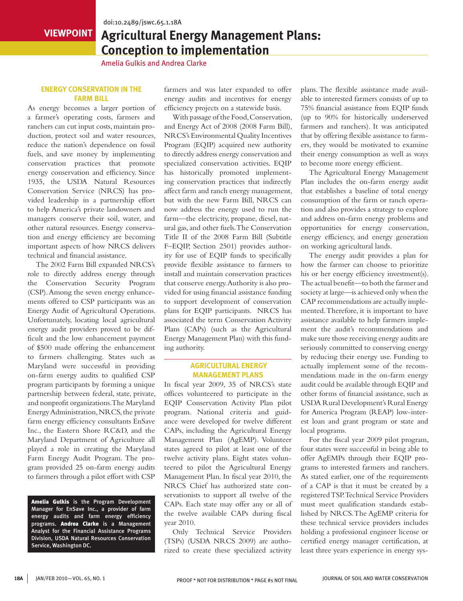## **viewpoint**

## **Agricultural Energy Management Plans: Conception to implementation**

Amelia Gulkis and Andrea Clarke

### **Energy Conservation in the Farm Bill**

As energy becomes a larger portion of a farmer's operating costs, farmers and ranchers can cut input costs, maintain production, protect soil and water resources, reduce the nation's dependence on fossil fuels, and save money by implementing conservation practices that promote energy conservation and efficiency. Since 1935, the USDA Natural Resources Conservation Service (NRCS) has provided leadership in a partnership effort to help America's private landowners and managers conserve their soil, water, and other natural resources. Energy conservation and energy efficiency are becoming important aspects of how NRCS delivers technical and financial assistance.

The 2002 Farm Bill expanded NRCS's role to directly address energy through the Conservation Security Program (CSP). Among the seven energy enhancements offered to CSP participants was an Energy Audit of Agricultural Operations. Unfortunately, locating local agricultural energy audit providers proved to be difficult and the low enhancement payment of \$500 made offering the enhancement to farmers challenging. States such as Maryland were successful in providing on-farm energy audits to qualified CSP program participants by forming a unique partnership between federal, state, private, and nonprofit organizations. The Maryland Energy Administration, NRCS, the private farm energy efficiency consultants EnSave Inc., the Eastern Shore RC&D, and the Maryland Department of Agriculture all played a role in creating the Maryland Farm Energy Audit Program. The program provided 25 on-farm energy audits to farmers through a pilot effort with CSP

Amelia Gulkis is the Program Development Manager for EnSave Inc., a provider of farm energy audits and farm energy efficiency programs. Andrea Clarke is a Management Analyst for the Financial Assistance Programs Division, USDA Natural Resources Conservation Service, Washington DC.

farmers and was later expanded to offer energy audits and incentives for energy efficiency projects on a statewide basis.

With passage of the Food, Conservation, and Energy Act of 2008 (2008 Farm Bill), NRCS's Environmental Quality Incentives Program (EQIP) acquired new authority to directly address energy conservation and specialized conservation activities. EQIP has historically promoted implementing conservation practices that indirectly affect farm and ranch energy management, but with the new Farm Bill, NRCS can now address the energy used to run the farm—the electricity, propane, diesel, natural gas, and other fuels. The Conservation Title II of the 2008 Farm Bill (Subtitle F–EQIP, Section 2501) provides authority for use of EQIP funds to specifically provide flexible assistance to farmers to install and maintain conservation practices that conserve energy. Authority is also provided for using financial assistance funding to support development of conservation plans for EQIP participants. NRCS has associated the term Conservation Activity Plans (CAPs) (such as the Agricultural Energy Management Plan) with this funding authority.

## **Agricultural Energy Management Plans**

In fiscal year 2009, 35 of NRCS's state offices volunteered to participate in the EQIP Conservation Activity Plan pilot program. National criteria and guidance were developed for twelve different CAPs, including the Agricultural Energy Management Plan (AgEMP). Volunteer states agreed to pilot at least one of the twelve activity plans. Eight states volunteered to pilot the Agricultural Energy Management Plan. In fiscal year 2010, the NRCS Chief has authorized state conservationists to support all twelve of the CAPs. Each state may offer any or all of the twelve available CAPs during fiscal year 2010.

Only Technical Service Providers (TSPs) (USDA NRCS 2009) are authorized to create these specialized activity

plans. The flexible assistance made available to interested farmers consists of up to 75% financial assistance from EQIP funds (up to 90% for historically underserved farmers and ranchers). It was anticipated that by offering flexible assistance to farmers, they would be motivated to examine their energy consumption as well as ways to become more energy efficient.

The Agricultural Energy Management Plan includes the on-farm energy audit that establishes a baseline of total energy consumption of the farm or ranch operation and also provides a strategy to explore and address on-farm energy problems and opportunities for energy conservation, energy efficiency, and energy generation on working agricultural lands.

The energy audit provides a plan for how the farmer can choose to prioritize his or her energy efficiency investment(s). The actual benefit—to both the farmer and society at large—is achieved only when the CAP recommendations are actually implemented. Therefore, it is important to have assistance available to help farmers implement the audit's recommendations and make sure those receiving energy audits are seriously committed to conserving energy by reducing their energy use. Funding to actually implement some of the recommendations made in the on-farm energy audit could be available through EQIP and other forms of financial assistance, such as USDA Rural Development's Rural Energy for America Program (REAP) low-interest loan and grant program or state and local programs.

For the fiscal year 2009 pilot program, four states were successful in being able to offer AgEMPs through their EQIP programs to interested farmers and ranchers. As stated earlier, one of the requirements of a CAP is that it must be created by a registered TSP. Technical Service Providers must meet qualification standards established by NRCS. The AgEMP criteria for these technical service providers includes holding a professional engineer license or certified energy manager certification, at least three years experience in energy sys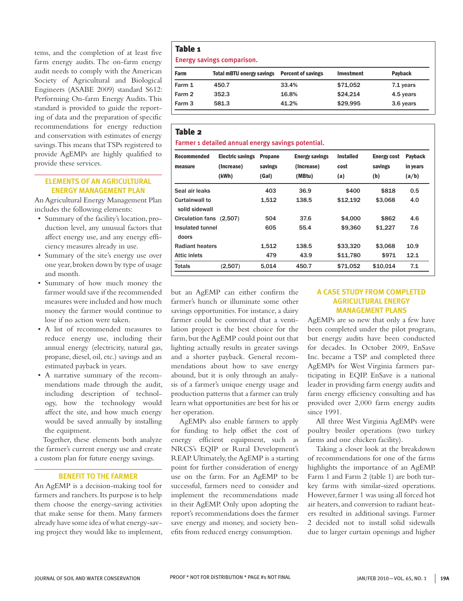tems, and the completion of at least five farm energy audits. The on-farm energy audit needs to comply with the American Society of Agricultural and Biological Engineers (ASABE 2009) standard S612: Performing On-farm Energy Audits. This standard is provided to guide the reporting of data and the preparation of specific recommendations for energy reduction and conservation with estimates of energy savings. This means that TSPs registered to provide AgEMPs are highly qualified to provide these services.

## **Elements of an Agricultural Energy Management Plan**

An Agricultural Energy Management Plan includes the following elements:

- Summary of the facility's location, production level, any unusual factors that affect energy use, and any energy efficiency measures already in use.
- Summary of the site's energy use over one year, broken down by type of usage and month.
- Summary of how much money the farmer would save if the recommended measures were included and how much money the farmer would continue to lose if no action were taken.
- A list of recommended measures to reduce energy use, including their annual energy (electricity, natural gas, propane, diesel, oil, etc.) savings and an estimated payback in years.
- A narrative summary of the recommendations made through the audit, including description of technology, how the technology would affect the site, and how much energy would be saved annually by installing the equipment.

Together, these elements both analyze the farmer's current energy use and create a custom plan for future energy savings.

#### **Benefit to the Farmer**

An AgEMP is a decision-making tool for farmers and ranchers. Its purpose is to help them choose the energy-saving activities that make sense for them. Many farmers already have some idea of what energy-saving project they would like to implement,

## Table 1

Energy savings comparison.

| Farm   | <b>Total mBTU energy savings</b> | <b>Percent of savings</b> | <b>Investment</b> | Payback   |
|--------|----------------------------------|---------------------------|-------------------|-----------|
| Farm 1 | 450.7                            | 33.4%                     | \$71,052          | 7.1 years |
| Farm 2 | 352.3                            | 16.8%                     | \$24.214          | 4.5 years |
| Farm 3 | 581.3                            | 41.2%                     | \$29,995          | 3.6 years |

## Table 2

Farmer 1 detailed annual energy savings potential.

| <b>Recommended</b><br>measure    | <b>Electric savings</b><br>(Increase)<br>(kWh) | <b>Propane</b><br>savings<br>(Gal) | <b>Energy savings</b><br>(Increase)<br>(MBtu) | <b>Installed</b><br>cost<br>(a) | <b>Energy cost</b><br>savings<br>(b) | Payback<br>in years<br>(a/b) |
|----------------------------------|------------------------------------------------|------------------------------------|-----------------------------------------------|---------------------------------|--------------------------------------|------------------------------|
| Seal air leaks                   |                                                | 403                                | 36.9                                          | \$400                           | \$818                                | 0.5                          |
| Curtainwall to<br>solid sidewall |                                                | 1.512                              | 138.5                                         | \$12.192                        | \$3,068                              | 4.0                          |
| <b>Circulation fans</b>          | (2.507)                                        | 504                                | 37.6                                          | \$4,000                         | \$862                                | 4.6                          |
| Insulated tunnel<br>doors        |                                                | 605                                | 55.4                                          | \$9,360                         | \$1,227                              | 7.6                          |
| <b>Radiant heaters</b>           |                                                | 1.512                              | 138.5                                         | \$33,320                        | \$3,068                              | 10.9                         |
| <b>Attic inlets</b>              |                                                | 479                                | 43.9                                          | \$11,780                        | \$971                                | 12.1                         |
| <b>Totals</b>                    | (2,507)                                        | 5,014                              | 450.7                                         | \$71,052                        | \$10.014                             | 7.1                          |

but an AgEMP can either confirm the farmer's hunch or illuminate some other savings opportunities. For instance, a dairy farmer could be convinced that a ventilation project is the best choice for the farm, but the AgEMP could point out that lighting actually results in greater savings and a shorter payback. General recommendations about how to save energy abound, but it is only through an analysis of a farmer's unique energy usage and production patterns that a farmer can truly learn what opportunities are best for his or her operation.

AgEMPs also enable farmers to apply for funding to help offset the cost of energy efficient equipment, such as NRCS's EQIP or Rural Development's REAP. Ultimately, the AgEMP is a starting point for further consideration of energy use on the farm. For an AgEMP to be successful, farmers need to consider and implement the recommendations made in their AgEMP. Only upon adopting the report's recommendations does the farmer save energy and money, and society benefits from reduced energy consumption.

## **A Case Study from Completed Agricultural Energy Management Plans**

AgEMPs are so new that only a few have been completed under the pilot program, but energy audits have been conducted for decades. In October 2009, EnSave Inc. became a TSP and completed three AgEMPs for West Virginia farmers participating in EQIP. EnSave is a national leader in providing farm energy audits and farm energy efficiency consulting and has provided over 2,000 farm energy audits since 1991.

All three West Virginia AgEMPs were poultry broiler operations (two turkey farms and one chicken facility).

Taking a closer look at the breakdown of recommendations for one of the farms highlights the importance of an AgEMP. Farm 1 and Farm 2 (table 1) are both turkey farms with similar-sized operations. However, farmer 1 was using all forced hot air heaters, and conversion to radiant heaters resulted in additional savings. Farmer 2 decided not to install solid sidewalls due to larger curtain openings and higher